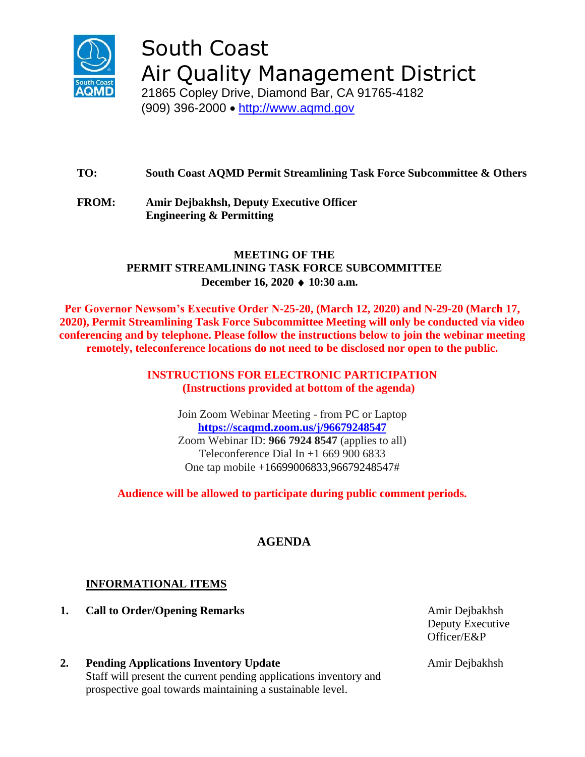

South Coast Air Quality Management District

21865 Copley Drive, Diamond Bar, CA 91765-4182 (909) 396-2000 • [http://www.aqmd.gov](http://www.aqmd.gov/)

**TO: South Coast AQMD Permit Streamlining Task Force Subcommittee & Others**

**FROM: Amir Dejbakhsh, Deputy Executive Officer Engineering & Permitting**

# **MEETING OF THE PERMIT STREAMLINING TASK FORCE SUBCOMMITTEE December 16, 2020 10:30 a.m.**

**Per Governor Newsom's Executive Order N-25-20, (March 12, 2020) and N-29-20 (March 17, 2020), Permit Streamlining Task Force Subcommittee Meeting will only be conducted via video conferencing and by telephone. Please follow the instructions below to join the webinar meeting remotely, teleconference locations do not need to be disclosed nor open to the public.**

> **INSTRUCTIONS FOR ELECTRONIC PARTICIPATION (Instructions provided at bottom of the agenda)**

Join Zoom Webinar Meeting - from PC or Laptop **<https://scaqmd.zoom.us/j/96679248547>** Zoom Webinar ID: **966 7924 8547** (applies to all) Teleconference Dial In  $+1$  669 900 6833 One tap mobile +16699006833,96679248547#

**Audience will be allowed to participate during public comment periods.**

# **AGENDA**

# **INFORMATIONAL ITEMS**

**1. Call to Order/Opening Remarks** Amir Dejbakhsh

Deputy Executive Officer/E&P

**2. Pending Applications Inventory Update** Staff will present the current pending applications inventory and prospective goal towards maintaining a sustainable level.

Amir Dejbakhsh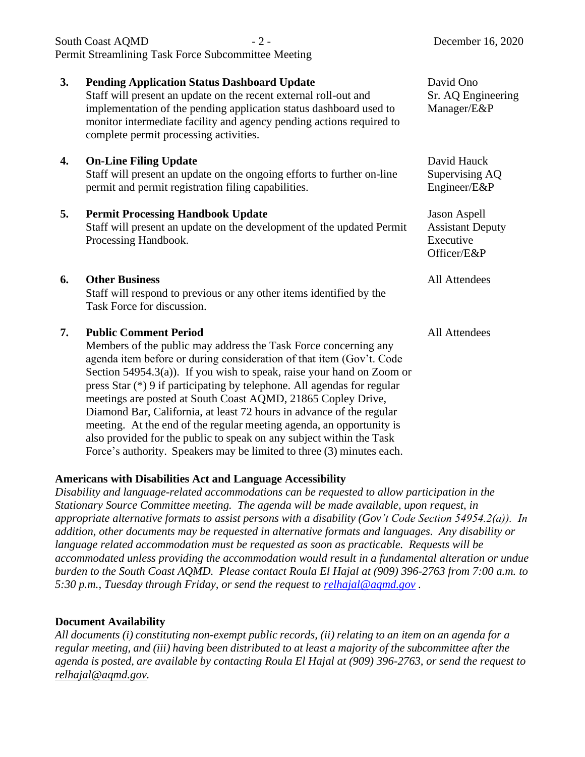|    | Permit Streamlining Task Force Subcommittee Meeting                                                                                                                                                                                                                                                                                                                                                                                                                    |                                                                            |
|----|------------------------------------------------------------------------------------------------------------------------------------------------------------------------------------------------------------------------------------------------------------------------------------------------------------------------------------------------------------------------------------------------------------------------------------------------------------------------|----------------------------------------------------------------------------|
| 3. | <b>Pending Application Status Dashboard Update</b><br>Staff will present an update on the recent external roll-out and<br>implementation of the pending application status dashboard used to<br>monitor intermediate facility and agency pending actions required to<br>complete permit processing activities.                                                                                                                                                         | David Ono<br>Sr. AQ Engineering<br>Manager/E&P                             |
| 4. | <b>On-Line Filing Update</b><br>Staff will present an update on the ongoing efforts to further on-line<br>permit and permit registration filing capabilities.                                                                                                                                                                                                                                                                                                          | David Hauck<br>Supervising AQ<br>Engineer/E&P                              |
| 5. | <b>Permit Processing Handbook Update</b><br>Staff will present an update on the development of the updated Permit<br>Processing Handbook.                                                                                                                                                                                                                                                                                                                              | <b>Jason Aspell</b><br><b>Assistant Deputy</b><br>Executive<br>Officer/E&P |
| 6. | <b>Other Business</b><br>Staff will respond to previous or any other items identified by the<br>Task Force for discussion.                                                                                                                                                                                                                                                                                                                                             | <b>All Attendees</b>                                                       |
| 7. | <b>Public Comment Period</b><br>Members of the public may address the Task Force concerning any<br>agenda item before or during consideration of that item (Gov't. Code<br>Section $54954.3(a)$ ). If you wish to speak, raise your hand on Zoom or<br>press Star (*) 9 if participating by telephone. All agendas for regular<br>meetings are posted at South Coast AQMD, 21865 Copley Drive,<br>Diamond Bar, California, at least 72 hours in advance of the regular | All Attendees                                                              |

South Coast AOMD - 2 - December 16, 2020

Force's authority. Speakers may be limited to three (3) minutes each.

meeting. At the end of the regular meeting agenda, an opportunity is also provided for the public to speak on any subject within the Task

#### **Americans with Disabilities Act and Language Accessibility**

*Disability and language-related accommodations can be requested to allow participation in the Stationary Source Committee meeting. The agenda will be made available, upon request, in appropriate alternative formats to assist persons with a disability (Gov't Code Section 54954.2(a)). In addition, other documents may be requested in alternative formats and languages. Any disability or language related accommodation must be requested as soon as practicable. Requests will be accommodated unless providing the accommodation would result in a fundamental alteration or undue burden to the South Coast AQMD. Please contact Roula El Hajal at (909) 396-2763 from 7:00 a.m. to 5:30 p.m., Tuesday through Friday, or send the request to [relhajal@aqmd.gov](mailto:relhajal@aqmd.gov) .*

#### **Document Availability**

*All documents (i) constituting non-exempt public records, (ii) relating to an item on an agenda for a regular meeting, and (iii) having been distributed to at least a majority of the subcommittee after the agenda is posted, are available by contacting Roula El Hajal at (909) 396-2763, or send the request to [relhajal@aqmd.gov.](mailto:relhajal@aqmd.gov)*